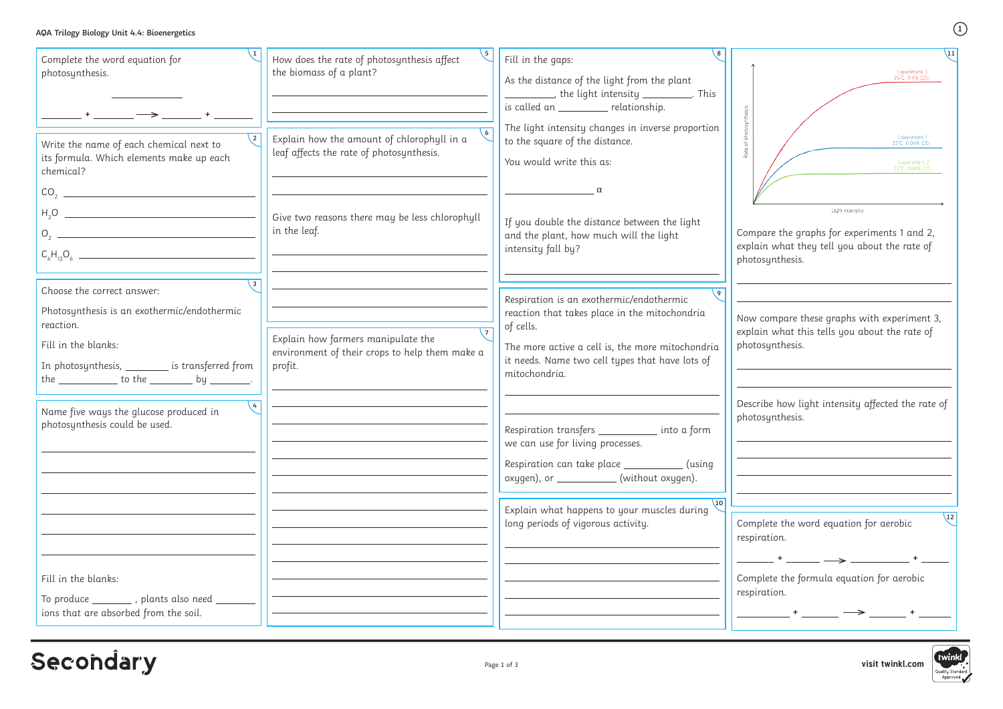### **AQA Trilogy Biology Unit 4.4: Bioenergetics**

|                                                                                                                 | 11                                     |
|-----------------------------------------------------------------------------------------------------------------|----------------------------------------|
| <b>Experiment 3</b><br>25°C; 0.4% CO2                                                                           |                                        |
|                                                                                                                 |                                        |
|                                                                                                                 |                                        |
| Rate of photosynthesis<br><b>Experiment 1</b><br>25°C; 0.04% CO <sub>2</sub>                                    |                                        |
| <b>Experiment 2</b>                                                                                             |                                        |
| 15°C; 0.04% CO <sub>2</sub>                                                                                     |                                        |
|                                                                                                                 |                                        |
| Light intensity                                                                                                 |                                        |
| Compare the graphs for experiments 1 and 2,<br>explain what they tell you about the rate of<br>photosynthesis.  |                                        |
|                                                                                                                 |                                        |
| Now compare these graphs with experiment 3,<br>explain what this tells you about the rate of<br>photosynthesis. |                                        |
| Describe how light intensity affected the rate of<br>photosynthesis.                                            |                                        |
|                                                                                                                 |                                        |
|                                                                                                                 |                                        |
|                                                                                                                 |                                        |
| Complete the word equation for aerobic<br>respiration.                                                          | 12                                     |
| $\overline{\phantom{a}}$                                                                                        |                                        |
| Complete the formula equation for aerobic<br>respiration.                                                       |                                        |
|                                                                                                                 |                                        |
|                                                                                                                 |                                        |
| visit twinkl.com                                                                                                | twinkl<br>Quality Standard<br>Approved |

| Complete the word equation for<br>photosynthesis.<br>____ + ______ <del>→</del> _____ + ___                                                                                                                                                                                                                                                                                                                                                                                                                                                                                                                                   | $\sqrt{5}$<br>How does the rate of photosynthesis affect<br>the biomass of a plant?                               | Fill in the gaps:<br>As the distance of the light from the plant<br>__________, the light intensity ____________. This<br>is called an ________ relationship.<br>The light intensity changes in inverse proportion                              |                                |
|-------------------------------------------------------------------------------------------------------------------------------------------------------------------------------------------------------------------------------------------------------------------------------------------------------------------------------------------------------------------------------------------------------------------------------------------------------------------------------------------------------------------------------------------------------------------------------------------------------------------------------|-------------------------------------------------------------------------------------------------------------------|-------------------------------------------------------------------------------------------------------------------------------------------------------------------------------------------------------------------------------------------------|--------------------------------|
| $2^{\circ}$<br>Write the name of each chemical next to<br>its formula. Which elements make up each<br>chemical?                                                                                                                                                                                                                                                                                                                                                                                                                                                                                                               | Explain how the amount of chlorophyll in a<br>leaf affects the rate of photosynthesis.                            | to the square of the distance.<br>You would write this as:<br>$\alpha$                                                                                                                                                                          |                                |
| $0, \underline{\hspace{2cm}}$                                                                                                                                                                                                                                                                                                                                                                                                                                                                                                                                                                                                 | Give two reasons there may be less chlorophyll<br>in the leaf.                                                    | If you double the distance between the light<br>and the plant, how much will the light<br>intensity fall by?                                                                                                                                    | Comp<br>expla<br>photo         |
| $\sqrt{3}$<br>Choose the correct answer:<br>Photosynthesis is an exothermic/endothermic<br>reaction.<br>Fill in the blanks:<br>In photosynthesis, _________ is transferred from<br>the $\frac{1}{\sqrt{1-\frac{1}{2}}}\cdot\frac{1}{\sqrt{1-\frac{1}{2}}}\cdot\frac{1}{\sqrt{1-\frac{1}{2}}}\cdot\frac{1}{\sqrt{1-\frac{1}{2}}}\cdot\frac{1}{\sqrt{1-\frac{1}{2}}}\cdot\frac{1}{\sqrt{1-\frac{1}{2}}}\cdot\frac{1}{\sqrt{1-\frac{1}{2}}}\cdot\frac{1}{\sqrt{1-\frac{1}{2}}}\cdot\frac{1}{\sqrt{1-\frac{1}{2}}}\cdot\frac{1}{\sqrt{1-\frac{1}{2}}}\cdot\frac{1}{\sqrt{1-\frac{1}{2}}}\cdot\frac{1}{\sqrt{1-\frac{1}{2}}}\cdot$ | $\overline{7}$<br>Explain how farmers manipulate the<br>environment of their crops to help them make a<br>profit. | Respiration is an exothermic/endothermic<br>reaction that takes place in the mitochondria<br>of cells.<br>The more active a cell is, the more mitochondria<br>it needs. Name two cell types that have lots of<br>mitochondria.                  | Now<br>expla<br>photo<br>Descr |
| Name five ways the glucose produced in<br>photosynthesis could be used.                                                                                                                                                                                                                                                                                                                                                                                                                                                                                                                                                       |                                                                                                                   | Respiration transfers __________ into a form<br>we can use for living processes.<br>Respiration can take place _____________ (using<br>oxygen), or ____________ (without oxygen).<br>$\sqrt{10}$<br>Explain what happens to your muscles during | photo                          |
| Fill in the blanks:                                                                                                                                                                                                                                                                                                                                                                                                                                                                                                                                                                                                           |                                                                                                                   | long periods of vigorous activity.                                                                                                                                                                                                              | Comp<br>respir<br>Comp         |
| To produce _________ , plants also need _____<br>ions that are absorbed from the soil.                                                                                                                                                                                                                                                                                                                                                                                                                                                                                                                                        |                                                                                                                   |                                                                                                                                                                                                                                                 | respir                         |

# Secondary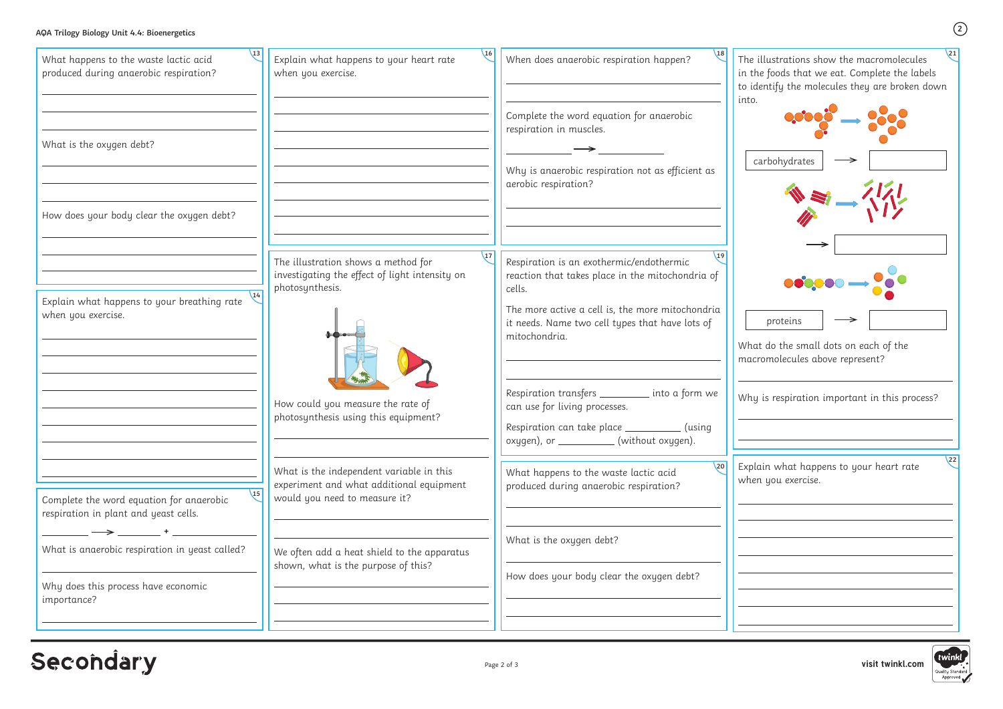**visit twinkl.com**

### **AQA Trilogy Biology Unit 4.4: Bioenergetics <sup>2</sup>**

| $\sqrt{13}$<br>What happens to the waste lactic acid<br>produced during anaerobic respiration?<br>What is the oxygen debt? | 16<br>Explain what happens to your heart rate<br>when you exercise.                                                     | $\sqrt{18}$<br>When does anaerobic respiration happen?<br>The<br>in t<br>to i<br>into<br>Complete the word equation for anaerobic<br>respiration in muscles.<br>Why is anaerobic respiration not as efficient as<br>aerobic respiration? |
|----------------------------------------------------------------------------------------------------------------------------|-------------------------------------------------------------------------------------------------------------------------|------------------------------------------------------------------------------------------------------------------------------------------------------------------------------------------------------------------------------------------|
| How does your body clear the oxygen debt?                                                                                  |                                                                                                                         |                                                                                                                                                                                                                                          |
|                                                                                                                            | $\sqrt{17}$<br>The illustration shows a method for<br>investigating the effect of light intensity on<br>photosynthesis. | 19<br>Respiration is an exothermic/endothermic<br>reaction that takes place in the mitochondria of<br>cells.                                                                                                                             |
| $\sqrt{14}$<br>Explain what happens to your breathing rate<br>when you exercise.                                           |                                                                                                                         | The more active a cell is, the more mitochondria<br>it needs. Name two cell types that have lots of<br>mitochondria.<br>Wh<br>ma                                                                                                         |
|                                                                                                                            | How could you measure the rate of<br>photosynthesis using this equipment?                                               | Respiration transfers ________ into a form we<br>Wh<br>can use for living processes.<br>Respiration can take place ____________ (using<br>oxygen), or ____________ (without oxygen).                                                     |
| $\sqrt{15}$<br>Complete the word equation for anaerobic                                                                    | What is the independent variable in this<br>experiment and what additional equipment<br>would you need to measure it?   | 20<br>Exp<br>What happens to the waste lactic acid<br>wh<br>produced during anaerobic respiration?                                                                                                                                       |
| respiration in plant and yeast cells.                                                                                      |                                                                                                                         |                                                                                                                                                                                                                                          |
| What is anaerobic respiration in yeast called?                                                                             | We often add a heat shield to the apparatus                                                                             | What is the oxygen debt?                                                                                                                                                                                                                 |
| Why does this process have economic<br>importance?                                                                         | shown, what is the purpose of this?                                                                                     | How does your body clear the oxygen debt?                                                                                                                                                                                                |
|                                                                                                                            |                                                                                                                         |                                                                                                                                                                                                                                          |

## Secondary

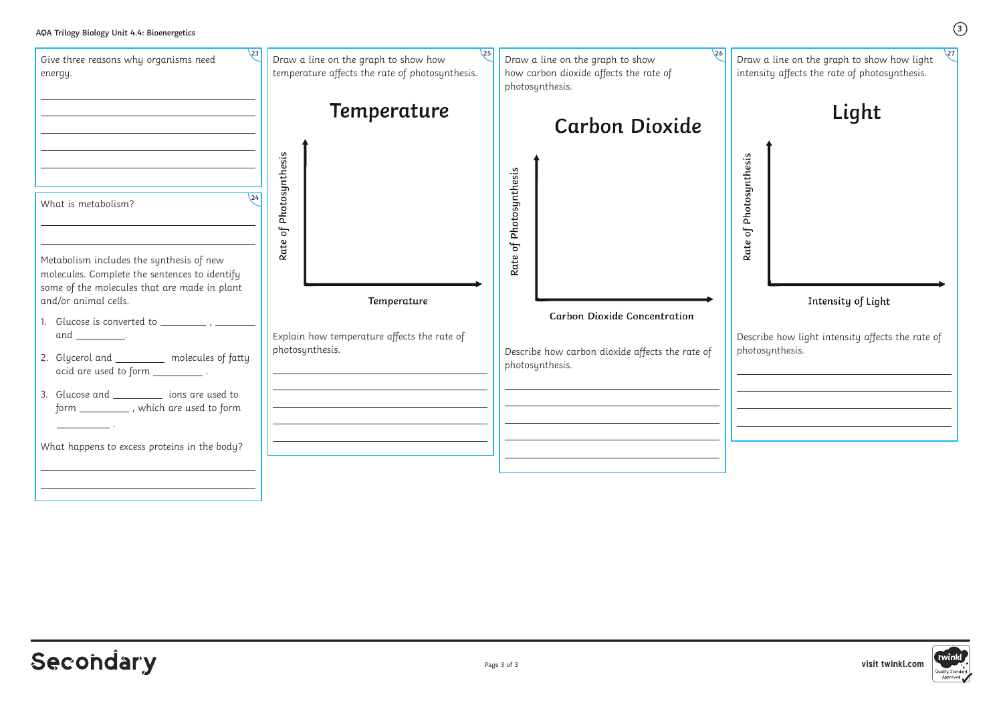



| $\sqrt{23}$<br>Give three reasons why organisms need<br>energy.                                                                                                                                                    | $\sqrt{25}$<br>Draw a line on the graph to show how<br>temperature affects the rate of photosynthesis. | 26<br>Draw a line on the graph to show<br>how carbon dioxide affects the rate of<br>photosynthesis. | 27<br>Draw a line on the graph to show how light<br>intensity affects the rate of photosynthesis. |
|--------------------------------------------------------------------------------------------------------------------------------------------------------------------------------------------------------------------|--------------------------------------------------------------------------------------------------------|-----------------------------------------------------------------------------------------------------|---------------------------------------------------------------------------------------------------|
|                                                                                                                                                                                                                    | <b>Temperature</b>                                                                                     | <b>Carbon Dioxide</b>                                                                               | Light                                                                                             |
| What is metabolism?                                                                                                                                                                                                | Photosynthesis<br>Ъp                                                                                   | Photosynthesis                                                                                      | Photosynthesis<br>ЪĻ                                                                              |
| Metabolism includes the synthesis of new<br>molecules. Complete the sentences to identify<br>some of the molecules that are made in plant<br>and/or animal cells.<br>Glucose is converted to $\_\_$                | Rate<br>Temperature                                                                                    | ჼ<br>Rate<br><b>Carbon Dioxide Concentration</b>                                                    | Rate<br>Intensity of Light                                                                        |
| and ___________.<br>2. Glycerol and ___________ molecules of fatty<br>acid are used to form $\_\_\_\_\_\_\_\_\_$ .<br>Glucose and ____________ ions are used to<br>3.<br>form ____________, which are used to form | Explain how temperature affects the rate of<br>photosynthesis.                                         | Describe how carbon dioxide affects the rate of<br>photosynthesis.                                  | Describe how light intensity affects the rate of<br>photosynthesis.                               |
| What happens to excess proteins in the body?                                                                                                                                                                       |                                                                                                        |                                                                                                     |                                                                                                   |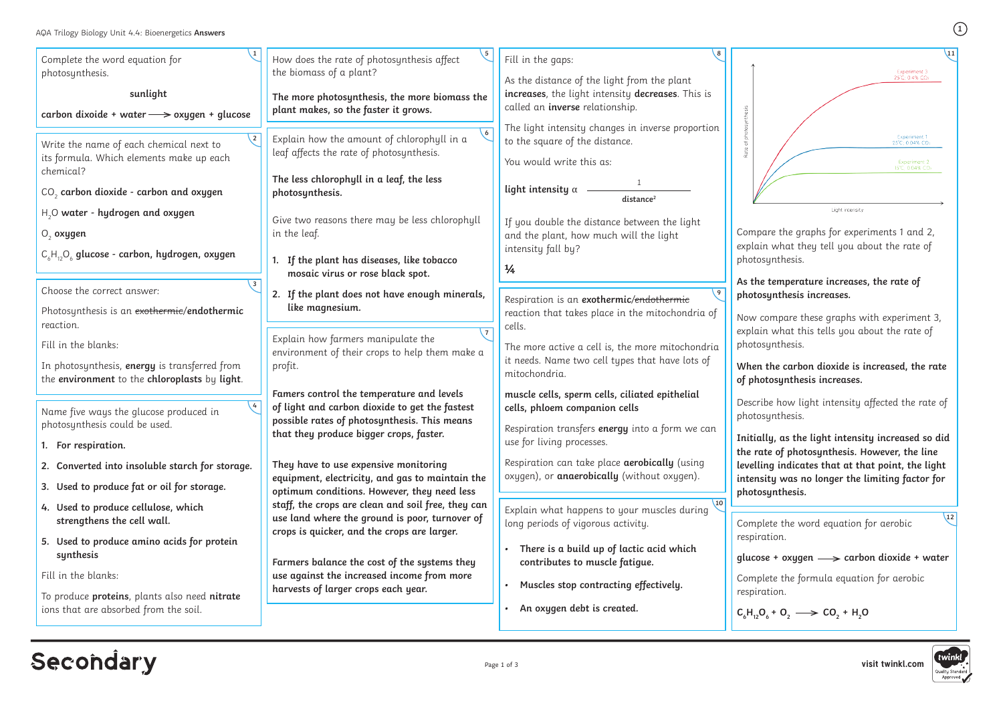| Complete the word equation for<br>photosynthesis.<br>sunlight                                                         | $5^{\circ}$<br>How does the rate of photosynthesis affect<br>the biomass of a plant?                                                                                                                                            | Fill in the gaps:<br>As the distance of the light from the plant<br>increases, the light intensity decreases. This is                                                                                            |  |
|-----------------------------------------------------------------------------------------------------------------------|---------------------------------------------------------------------------------------------------------------------------------------------------------------------------------------------------------------------------------|------------------------------------------------------------------------------------------------------------------------------------------------------------------------------------------------------------------|--|
| carbon dixoide + water $\longrightarrow$ oxygen + glucose                                                             | The more photosynthesis, the more biomass the<br>plant makes, so the faster it grows.                                                                                                                                           | called an <i>inverse</i> relationship.                                                                                                                                                                           |  |
| $\overline{2}$<br>Write the name of each chemical next to<br>its formula. Which elements make up each<br>chemical?    | 6 <sup>6</sup><br>Explain how the amount of chlorophyll in a<br>leaf affects the rate of photosynthesis.<br>The less chlorophyll in a leaf, the less                                                                            | The light intensity changes in inverse proportion<br>to the square of the distance.<br>You would write this as:                                                                                                  |  |
| CO <sub>2</sub> carbon dioxide - carbon and oxygen                                                                    | photosynthesis.                                                                                                                                                                                                                 | light intensity $\alpha$<br>distance <sup>2</sup>                                                                                                                                                                |  |
| $H2O$ water - hydrogen and oxygen<br>O <sub>2</sub> oxygen                                                            | Give two reasons there may be less chlorophyll<br>in the leaf.                                                                                                                                                                  | If you double the distance between the light<br>and the plant, how much will the light<br>intensity fall by?                                                                                                     |  |
| $C_{6}H_{12}O_{6}$ glucose - carbon, hydrogen, oxygen                                                                 | If the plant has diseases, like tobacco<br>mosaic virus or rose black spot.                                                                                                                                                     | $\frac{1}{4}$                                                                                                                                                                                                    |  |
| Choose the correct answer:<br>Photosynthesis is an exothermic/endothermic<br>reaction.                                | 2. If the plant does not have enough minerals,<br>like magnesium.                                                                                                                                                               | Respiration is an exothermic/endothermic<br>reaction that takes place in the mitochondria of<br>cells.                                                                                                           |  |
| Fill in the blanks:<br>In photosynthesis, energy is transferred from<br>the environment to the chloroplasts by light. | Explain how farmers manipulate the<br>environment of their crops to help them make a<br>profit.                                                                                                                                 | The more active a cell is, the more mitochondria<br>it needs. Name two cell types that have lots of<br>mitochondria.                                                                                             |  |
| Name five ways the glucose produced in<br>photosynthesis could be used.<br>1. For respiration.                        | Famers control the temperature and levels<br>of light and carbon dioxide to get the fastest<br>possible rates of photosynthesis. This means<br>that they produce bigger crops, faster.<br>They have to use expensive monitoring | muscle cells, sperm cells, ciliated epithelial<br>cells, phloem companion cells<br>Respiration transfers energy into a form we can<br>use for living processes.<br>Respiration can take place aerobically (using |  |
| 2. Converted into insoluble starch for storage.<br>3. Used to produce fat or oil for storage.                         | equipment, electricity, and gas to maintain the                                                                                                                                                                                 | oxygen), or anaerobically (without oxygen).                                                                                                                                                                      |  |
| 4. Used to produce cellulose, which<br>strengthens the cell wall.<br>5. Used to produce amino acids for protein       | optimum conditions. However, they need less<br>staff, the crops are clean and soil free, they can<br>use land where the ground is poor, turnover of<br>crops is quicker, and the crops are larger.                              | $\sqrt{10}$<br>Explain what happens to your muscles during<br>long periods of vigorous activity.                                                                                                                 |  |
| synthesis<br>Fill in the blanks:<br>To produce <b>proteins</b> , plants also need nitrate                             | Farmers balance the cost of the systems they<br>use against the increased income from more<br>harvests of larger crops each year.                                                                                               | There is a build up of lactic acid which<br>contributes to muscle fatigue.<br>Muscles stop contracting effectively.                                                                                              |  |
| ions that are absorbed from the soil.                                                                                 |                                                                                                                                                                                                                                 | An oxygen debt is created.                                                                                                                                                                                       |  |

### **Secondary**



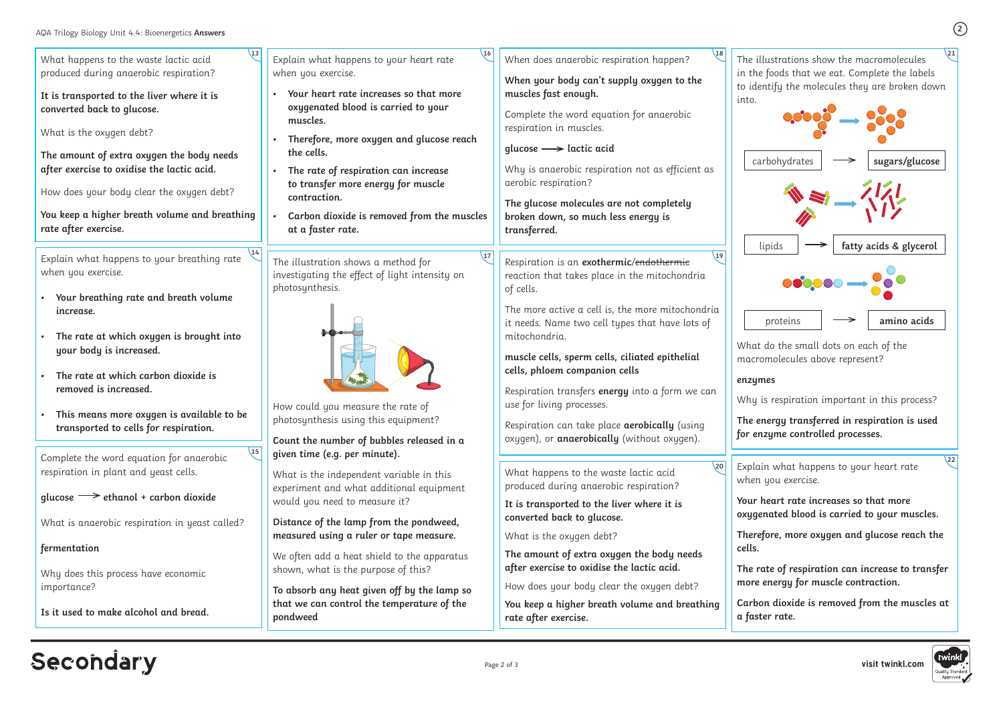Explain what happens to your breathing rate when you exercise. **• Your breathing rate and breath volume increase. • The rate at which oxygen is brought into your body is increased. • The rate at which carbon dioxide is removed is increased. • This means more oxygen is available to be transported to cells for respiration.** Complete the word equation for anaerobic respiration in plant and yeast cells. **glucose → ethanol + carbon dioxide** What is anaerobic respiration in yeast called? **fermentation** Why does this process have economic importance? **Is it used to make alcohol and bread.** Explain what happens to your heart rate when you exercise. **• Your heart rate increases so that more oxygenated blood is carried to your muscles. • Therefore, more oxygen and glucose reach the cells. • The rate of respiration can increase to transfer more energy for muscle contraction. • Carbon dioxide is removed from the muscles at a faster rate.** When does anaerobic respiration happen? **13 16 18 When your body can't supply oxygen to the muscles fast enough.** Complete the word equation for anaerobic respiration in muscles. **glucose → lactic acid** Why is anaerobic respiration not as efficient as aerobic respiration? **The glucose molecules are not completely broken down, so much less energy is transferred.** What happens to the waste lactic acid produced during anaerobic respiration? **It is transported to the liver where it is converted back to glucose.** What is the oxygen debt? **The amount of extra oxygen the body needs after exercise to oxidise the lactic acid.** How does your body clear the oxygen debt? **You keep a higher breath volume and breathing rate after exercise. 14 15** The illustration shows a method for investigating the effect of light intensity on photosynthesis. How could you measure the rate of photosynthesis using this equipment? **Count the number of bubbles released in a given time (e.g. per minute).** What is the independent variable in this experiment and what additional equipment would you need to measure it? **Distance of the lamp from the pondweed, measured using a ruler or tape measure.** We often add a heat shield to the apparatus shown, what is the purpose of this? **To absorb any heat given off by the lamp so that we can control the temperature of the pondweed 17** into. Respiration is an **exothermic**/endothermic reaction that takes place in the mitochondria of cells. The more active a cell is, the more mitochondria it needs. Name two cell types that have lots of mitochondria. **muscle cells, sperm cells, ciliated epithelial cells, phloem companion cells** Respiration transfers **energy** into a form we can use for living processes. Respiration can take place **aerobically** (using oxygen), or **anaerobically** (without oxygen). **19** What happens to the waste lactic acid produced during anaerobic respiration? **It is transported to the liver where it is converted back to glucose.** What is the oxygen debt? **The amount of extra oxygen the body needs after exercise to oxidise the lactic acid.** How does your body clear the oxygen debt? **You keep a higher breath volume and breathing rate after exercise. 20**